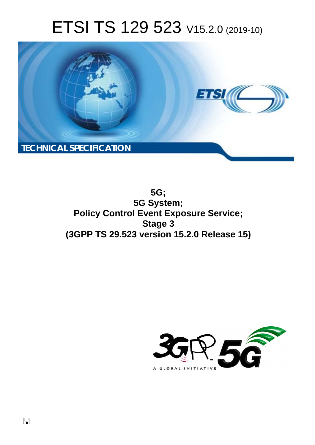# ETSI TS 129 523 V15.2.0 (2019-10)



**5G; 5G System; Policy Control Event Exposure Service; Stage 3 (3GPP TS 29.523 version 15.2.0 Release 15)** 

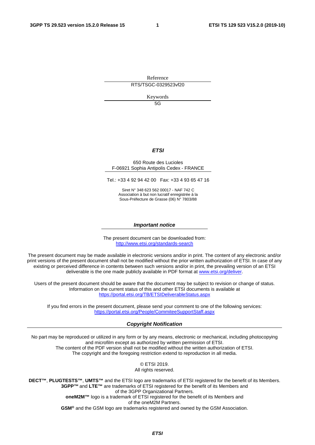Reference

RTS/TSGC-0329523vf20

Keywords

5G

#### *ETSI*

#### 650 Route des Lucioles F-06921 Sophia Antipolis Cedex - FRANCE

Tel.: +33 4 92 94 42 00 Fax: +33 4 93 65 47 16

Siret N° 348 623 562 00017 - NAF 742 C Association à but non lucratif enregistrée à la Sous-Préfecture de Grasse (06) N° 7803/88

#### *Important notice*

The present document can be downloaded from: <http://www.etsi.org/standards-search>

The present document may be made available in electronic versions and/or in print. The content of any electronic and/or print versions of the present document shall not be modified without the prior written authorization of ETSI. In case of any existing or perceived difference in contents between such versions and/or in print, the prevailing version of an ETSI deliverable is the one made publicly available in PDF format at [www.etsi.org/deliver](http://www.etsi.org/deliver).

Users of the present document should be aware that the document may be subject to revision or change of status. Information on the current status of this and other ETSI documents is available at <https://portal.etsi.org/TB/ETSIDeliverableStatus.aspx>

If you find errors in the present document, please send your comment to one of the following services: <https://portal.etsi.org/People/CommiteeSupportStaff.aspx>

#### *Copyright Notification*

No part may be reproduced or utilized in any form or by any means, electronic or mechanical, including photocopying and microfilm except as authorized by written permission of ETSI. The content of the PDF version shall not be modified without the written authorization of ETSI. The copyright and the foregoing restriction extend to reproduction in all media.

> © ETSI 2019. All rights reserved.

**DECT™**, **PLUGTESTS™**, **UMTS™** and the ETSI logo are trademarks of ETSI registered for the benefit of its Members. **3GPP™** and **LTE™** are trademarks of ETSI registered for the benefit of its Members and of the 3GPP Organizational Partners. **oneM2M™** logo is a trademark of ETSI registered for the benefit of its Members and of the oneM2M Partners. **GSM®** and the GSM logo are trademarks registered and owned by the GSM Association.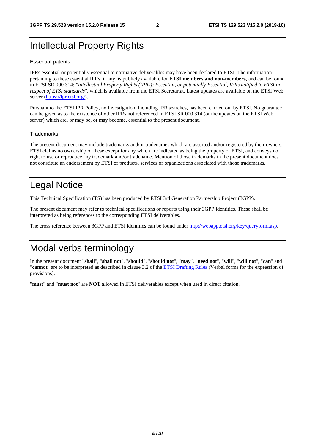# Intellectual Property Rights

#### Essential patents

IPRs essential or potentially essential to normative deliverables may have been declared to ETSI. The information pertaining to these essential IPRs, if any, is publicly available for **ETSI members and non-members**, and can be found in ETSI SR 000 314: *"Intellectual Property Rights (IPRs); Essential, or potentially Essential, IPRs notified to ETSI in respect of ETSI standards"*, which is available from the ETSI Secretariat. Latest updates are available on the ETSI Web server ([https://ipr.etsi.org/\)](https://ipr.etsi.org/).

Pursuant to the ETSI IPR Policy, no investigation, including IPR searches, has been carried out by ETSI. No guarantee can be given as to the existence of other IPRs not referenced in ETSI SR 000 314 (or the updates on the ETSI Web server) which are, or may be, or may become, essential to the present document.

#### **Trademarks**

The present document may include trademarks and/or tradenames which are asserted and/or registered by their owners. ETSI claims no ownership of these except for any which are indicated as being the property of ETSI, and conveys no right to use or reproduce any trademark and/or tradename. Mention of those trademarks in the present document does not constitute an endorsement by ETSI of products, services or organizations associated with those trademarks.

# Legal Notice

This Technical Specification (TS) has been produced by ETSI 3rd Generation Partnership Project (3GPP).

The present document may refer to technical specifications or reports using their 3GPP identities. These shall be interpreted as being references to the corresponding ETSI deliverables.

The cross reference between 3GPP and ETSI identities can be found under<http://webapp.etsi.org/key/queryform.asp>.

# Modal verbs terminology

In the present document "**shall**", "**shall not**", "**should**", "**should not**", "**may**", "**need not**", "**will**", "**will not**", "**can**" and "**cannot**" are to be interpreted as described in clause 3.2 of the [ETSI Drafting Rules](https://portal.etsi.org/Services/editHelp!/Howtostart/ETSIDraftingRules.aspx) (Verbal forms for the expression of provisions).

"**must**" and "**must not**" are **NOT** allowed in ETSI deliverables except when used in direct citation.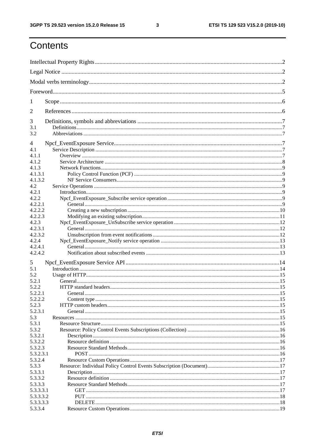$\mathbf{3}$ 

# Contents

| 1          |         |  |
|------------|---------|--|
| 2          |         |  |
| 3          |         |  |
| 3.1<br>3.2 |         |  |
| 4          |         |  |
| 4.1        |         |  |
| 4.1.1      |         |  |
| 4.1.2      |         |  |
| 4.1.3      |         |  |
| 4.1.3.1    |         |  |
| 4.1.3.2    |         |  |
| 4.2        |         |  |
| 4.2.1      |         |  |
| 4.2.2      |         |  |
| 4.2.2.1    |         |  |
| 4.2.2.2    |         |  |
| 4.2.2.3    |         |  |
| 4.2.3      |         |  |
| 4.2.3.1    |         |  |
| 4.2.3.2    |         |  |
| 4.2.4      |         |  |
| 4.2.4.1    |         |  |
| 4.2.4.2    |         |  |
| 5          |         |  |
| 5.1        |         |  |
| 5.2        |         |  |
| 5.2.1      |         |  |
| 5.2.2      |         |  |
| 5.2.2.1    | General |  |
| 5.2.2.2    |         |  |
| 5.2.3      |         |  |
| 5.2.3.1    |         |  |
| 5.3        |         |  |
| 5.3.1      |         |  |
| 5.3.2      |         |  |
| 5.3.2.1    |         |  |
| 5.3.2.2    |         |  |
| 5.3.2.3    |         |  |
| 5.3.2.3.1  |         |  |
| 5.3.2.4    |         |  |
| 5.3.3      |         |  |
| 5.3.3.1    |         |  |
| 5.3.3.2    |         |  |
| 5.3.3.3    |         |  |
| 5.3.3.3.1  |         |  |
| 5.3.3.3.2  |         |  |
| 5.3.3.3.3  |         |  |
| 5.3.3.4    |         |  |
|            |         |  |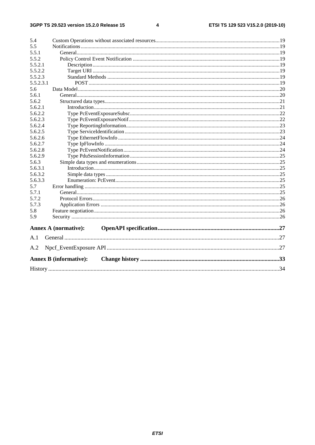#### $\overline{\mathbf{4}}$

| 5.4       |                               |  |
|-----------|-------------------------------|--|
| 5.5       |                               |  |
| 5.5.1     |                               |  |
| 5.5.2     |                               |  |
| 5.5.2.1   |                               |  |
| 5.5.2.2   |                               |  |
| 5.5.2.3   |                               |  |
| 5.5.2.3.1 |                               |  |
| 5.6       |                               |  |
| 5.6.1     |                               |  |
| 5.6.2     |                               |  |
| 5.6.2.1   |                               |  |
| 5.6.2.2   |                               |  |
| 5.6.2.3   |                               |  |
| 5.6.2.4   |                               |  |
| 5.6.2.5   |                               |  |
| 5.6.2.6   |                               |  |
| 5.6.2.7   |                               |  |
| 5.6.2.8   |                               |  |
| 5.6.2.9   |                               |  |
| 5.6.3     |                               |  |
| 5.6.3.1   |                               |  |
| 5.6.3.2   |                               |  |
| 5.6.3.3   |                               |  |
| 5.7       |                               |  |
| 5.7.1     |                               |  |
| 5.7.2     |                               |  |
| 5.7.3     |                               |  |
| 5.8       |                               |  |
| 5.9       |                               |  |
|           | <b>Annex A (normative):</b>   |  |
| A.1       |                               |  |
|           |                               |  |
| A.2       |                               |  |
|           | <b>Annex B (informative):</b> |  |
|           |                               |  |
|           |                               |  |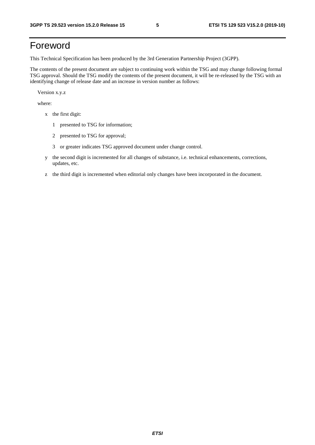# Foreword

This Technical Specification has been produced by the 3rd Generation Partnership Project (3GPP).

The contents of the present document are subject to continuing work within the TSG and may change following formal TSG approval. Should the TSG modify the contents of the present document, it will be re-released by the TSG with an identifying change of release date and an increase in version number as follows:

Version x.y.z

where:

- x the first digit:
	- 1 presented to TSG for information;
	- 2 presented to TSG for approval;
	- 3 or greater indicates TSG approved document under change control.
- y the second digit is incremented for all changes of substance, i.e. technical enhancements, corrections, updates, etc.
- z the third digit is incremented when editorial only changes have been incorporated in the document.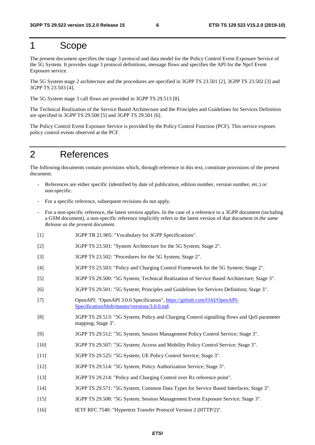# 1 Scope

The present document specifies the stage 3 protocol and data model for the Policy Control Event Exposure Service of the 5G System. It provides stage 3 protocol definitions, message flows and specifies the API for the Npcf Event Exposure service.

The 5G System stage 2 architecture and the procedures are specified in 3GPP TS 23.501 [2], 3GPP TS 23.502 [3] and 3GPP TS 23.503 [4].

The 5G System stage 3 call flows are provided in 3GPP TS 29.513 [8].

The Technical Realization of the Service Based Architecture and the Principles and Guidelines for Services Definition are specified in 3GPP TS 29.500 [5] and 3GPP TS 29.501 [6].

The Policy Control Event Exposure Service is provided by the Policy Control Function (PCF). This service exposes policy control events observed at the PCF.

# 2 References

The following documents contain provisions which, through reference in this text, constitute provisions of the present document.

- References are either specific (identified by date of publication, edition number, version number, etc.) or non-specific.
- For a specific reference, subsequent revisions do not apply.
- For a non-specific reference, the latest version applies. In the case of a reference to a 3GPP document (including a GSM document), a non-specific reference implicitly refers to the latest version of that document *in the same Release as the present document*.
- [1] 3GPP TR 21.905: "Vocabulary for 3GPP Specifications".
- [2] 3GPP TS 23.501: "System Architecture for the 5G System; Stage 2".
- [3] 3GPP TS 23.502: "Procedures for the 5G System; Stage 2".
- [4] 3GPP TS 23.503: "Policy and Charging Control Framework for the 5G System; Stage 2".
- [5] 3GPP TS 29.500: "5G System; Technical Realization of Service Based Architecture; Stage 3".
- [6] 3GPP TS 29.501: "5G System; Principles and Guidelines for Services Definition; Stage 3".
- [7] OpenAPI: "OpenAPI 3.0.0 Specification", [https://github.com/OAI/OpenAPI](https://github.com/OAI/OpenAPI-Specification/blob/master/versions/3.0.0.md)-[Specification/blob/master/versions/3.0.0.md](https://github.com/OAI/OpenAPI-Specification/blob/master/versions/3.0.0.md).
- [8] 3GPP TS 29.513: "5G System; Policy and Charging Control signalling flows and QoS parameter mapping; Stage 3".
- [9] 3GPP TS 29.512: "5G System; Session Management Policy Control Service; Stage 3".
- [10] 3GPP TS 29.507: "5G System; Access and Mobility Policy Control Service; Stage 3".
- [11] 3GPP TS 29.525: "5G System; UE Policy Control Service; Stage 3".
- [12] 3GPP TS 29.514: "5G System; Policy Authorization Service; Stage 3".
- [13] 3GPP TS 29.214: "Policy and Charging Control over Rx reference point".
- [14] 3GPP TS 29.571: "5G System; Common Data Types for Service Based Interfaces; Stage 3".
- [15] 3GPP TS 29.508: "5G System; Session Management Event Exposure Service; Stage 3".
- [16] IETF RFC 7540: "Hypertext Transfer Protocol Version 2 (HTTP/2)".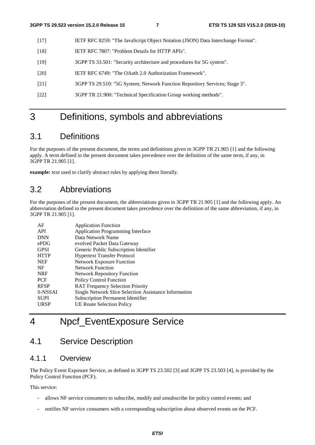- [17] IETF RFC 8259: "The JavaScript Object Notation (JSON) Data Interchange Format".
- [18] IETF RFC 7807: "Problem Details for HTTP APIs".
- [19] 3GPP TS 33.501: "Security architecture and procedures for 5G system".
- [20] IETF RFC 6749: "The OAuth 2.0 Authorization Framework".
- [21] 3GPP TS 29.510: "5G System; Network Function Repository Services; Stage 3".
- [22] 3GPP TR 21.900: "Technical Specification Group working methods".

# 3 Definitions, symbols and abbreviations

### 3.1 Definitions

For the purposes of the present document, the terms and definitions given in 3GPP TR 21.905 [1] and the following apply. A term defined in the present document takes precedence over the definition of the same term, if any, in 3GPP TR 21.905 [1].

**example:** text used to clarify abstract rules by applying them literally.

### 3.2 Abbreviations

For the purposes of the present document, the abbreviations given in 3GPP TR 21.905 [1] and the following apply. An abbreviation defined in the present document takes precedence over the definition of the same abbreviation, if any, in 3GPP TR 21.905 [1].

| AF          | <b>Application Function</b>                           |
|-------------|-------------------------------------------------------|
| API         | <b>Application Programming Interface</b>              |
| <b>DNN</b>  | Data Network Name                                     |
| ePDG        | evolved Packet Data Gateway                           |
| <b>GPSI</b> | Generic Public Subscription Identifier                |
| <b>HTTP</b> | <b>Hypertext Transfer Protocol</b>                    |
| <b>NEF</b>  | <b>Network Exposure Function</b>                      |
| NF          | <b>Network Function</b>                               |
| <b>NRF</b>  | <b>Network Repository Function</b>                    |
| <b>PCF</b>  | <b>Policy Control Function</b>                        |
| <b>RFSP</b> | <b>RAT Frequency Selection Priority</b>               |
| S-NSSAI     | Single Network Slice Selection Assistance Information |
| <b>SUPI</b> | <b>Subscription Permanent Identifier</b>              |
| <b>URSP</b> | <b>UE Route Selection Policy</b>                      |
|             |                                                       |

# 4 Npcf\_EventExposure Service

# 4.1 Service Description

### 4.1.1 Overview

The Policy Event Exposure Service, as defined in 3GPP TS 23.502 [3] and 3GPP TS 23.503 [4], is provided by the Policy Control Function (PCF).

This service:

- allows NF service consumers to subscribe, modify and unsubscribe for policy control events; and
- notifies NF service consumers with a corresponding subscription about observed events on the PCF.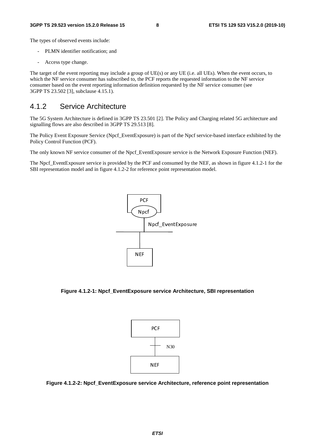The types of observed events include:

- PLMN identifier notification; and
- Access type change.

The target of the event reporting may include a group of UE(s) or any UE (i.e. all UEs). When the event occurs, to which the NF service consumer has subscribed to, the PCF reports the requested information to the NF service consumer based on the event reporting information definition requested by the NF service consumer (see 3GPP TS 23.502 [3], subclause 4.15.1).

### 4.1.2 Service Architecture

The 5G System Architecture is defined in 3GPP TS 23.501 [2]. The Policy and Charging related 5G architecture and signalling flows are also described in 3GPP TS 29.513 [8].

The Policy Event Exposure Service (Npcf\_EventExposure) is part of the Npcf service-based interface exhibited by the Policy Control Function (PCF).

The only known NF service consumer of the Npcf\_EventExposure service is the Network Exposure Function (NEF).

The Npcf\_EventExposure service is provided by the PCF and consumed by the NEF, as shown in figure 4.1.2-1 for the SBI representation model and in figure 4.1.2-2 for reference point representation model.



**Figure 4.1.2-1: Npcf\_EventExposure service Architecture, SBI representation** 



**Figure 4.1.2-2: Npcf\_EventExposure service Architecture, reference point representation**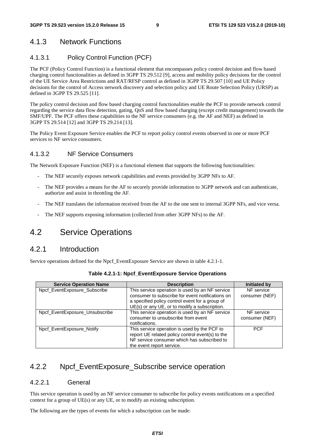### 4.1.3 Network Functions

### 4.1.3.1 Policy Control Function (PCF)

The PCF (Policy Control Function) is a functional element that encompasses policy control decision and flow based charging control functionalities as defined in 3GPP TS 29.512 [9], access and mobility policy decisions for the control of the UE Service Area Restrictions and RAT/RFSP control as defined in 3GPP TS 29.507 [10] and UE Policy decisions for the control of Access network discovery and selection policy and UE Route Selection Policy (URSP) as defined in 3GPP TS 29.525 [11].

The policy control decision and flow based charging control functionalities enable the PCF to provide network control regarding the service data flow detection, gating, QoS and flow based charging (except credit management) towards the SMF/UPF. The PCF offers these capabilities to the NF service consumers (e.g. the AF and NEF) as defined in 3GPP TS 29.514 [12] and 3GPP TS 29.214 [13].

The Policy Event Exposure Service enables the PCF to report policy control events observed in one or more PCF services to NF service consumers.

#### 4.1.3.2 NF Service Consumers

The Network Exposure Function (NEF) is a functional element that supports the following functionalities:

- The NEF securely exposes network capabilities and events provided by 3GPP NFs to AF.
- The NEF provides a means for the AF to securely provide information to 3GPP network and can authenticate, authorize and assist in throttling the AF.
- The NEF translates the information received from the AF to the one sent to internal 3GPP NFs, and vice versa.
- The NEF supports exposing information (collected from other 3GPP NFs) to the AF.

# 4.2 Service Operations

### 4.2.1 Introduction

Service operations defined for the Npcf\_EventExposure Service are shown in table 4.2.1-1.

| <b>Service Operation Name</b>  | <b>Description</b>                               | <b>Initiated by</b> |
|--------------------------------|--------------------------------------------------|---------------------|
| Npcf EventExposure Subscribe   | This service operation is used by an NF service  | NF service          |
|                                | consumer to subscribe for event notifications on | consumer (NEF)      |
|                                | a specified policy control event for a group of  |                     |
|                                | UE(s) or any UE, or to modify a subscription.    |                     |
| Npcf_EventExposure_Unsubscribe | This service operation is used by an NF service  | NF service          |
|                                | consumer to unsubscribe from event               | consumer (NEF)      |
|                                | notifications.                                   |                     |
| Npcf EventExposure Notify      | This service operation is used by the PCF to     | <b>PCF</b>          |
|                                | report UE related policy control event(s) to the |                     |
|                                | NF service consumer which has subscribed to      |                     |
|                                | the event report service.                        |                     |

| Table 4.2.1-1: Npcf_EventExposure Service Operations |  |  |  |
|------------------------------------------------------|--|--|--|
|------------------------------------------------------|--|--|--|

### 4.2.2 Npcf EventExposure Subscribe service operation

#### 4.2.2.1 General

This service operation is used by an NF service consumer to subscribe for policy events notifications on a specified context for a group of UE(s) or any UE, or to modify an existing subscription.

The following are the types of events for which a subscription can be made: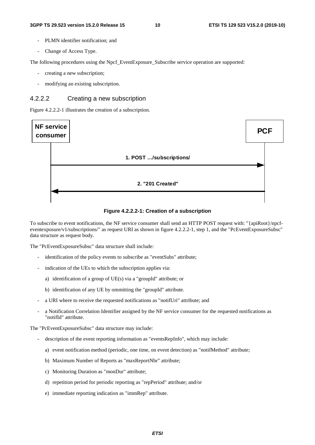- PLMN identifier notification; and
- Change of Access Type.

The following procedures using the Npcf. EventExposure. Subscribe service operation are supported:

- creating a new subscription;
- modifying an existing subscription.

#### 4.2.2.2 Creating a new subscription

Figure 4.2.2.2-1 illustrates the creation of a subscription.



**Figure 4.2.2.2-1: Creation of a subscription** 

To subscribe to event notifications, the NF service consumer shall send an HTTP POST request with: "{apiRoot}/npcfeventexposure/v1/subscriptions/" as request URI as shown in figure 4.2.2.2-1, step 1, and the "PcEventExposureSubsc" data structure as request body.

The "PcEventExposureSubsc" data structure shall include:

- identification of the policy events to subscribe as "eventSubs" attribute;
- indication of the UEs to which the subscription applies via:
	- a) identification of a group of UE(s) via a "groupId" attribute; or
	- b) identification of any UE by ommitting the "groupId" attribute.
- a URI where to receive the requested notifications as "notifUri" attribute; and
- a Notification Correlation Identifier assigned by the NF service consumer for the requested notifications as "notifId" attribute.

The "PcEventExposureSubsc" data structure may include:

- description of the event reporting information as "eventsRepInfo", which may include:
	- a) event notification method (periodic, one time, on event detection) as "notifMethod" attribute;
	- b) Maximum Number of Reports as "maxReportNbr" attribute;
	- c) Monitoring Duration as "monDur" attribute;
	- d) repetition period for periodic reporting as "repPeriod" attribute; and/or
	- e) immediate reporting indication as "immRep" attribute.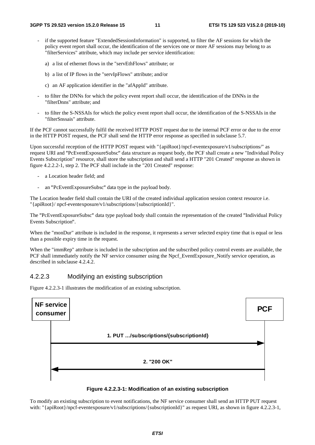- if the supported feature "ExtendedSessionInformation" is supported, to filter the AF sessions for which the policy event report shall occur, the identification of the services one or more AF sessions may belong to as "filterServices" attribute, which may include per service identification:
	- a) a list of ethernet flows in the "servEthFlows" attribute; or
	- b) a list of IP flows in the "servIpFlows" attribute; and/or
	- c) an AF application identifier in the "afAppId" attribute.
- to filter the DNNs for which the policy event report shall occur, the identification of the DNNs in the "filterDnns" attribute; and
- to filter the S-NSSAIs for which the policy event report shall occur, the identification of the S-NSSAIs in the "filterSnssais" attribute.

If the PCF cannot successfully fulfil the received HTTP POST request due to the internal PCF error or due to the error in the HTTP POST request, the PCF shall send the HTTP error response as specified in subclause 5.7.

Upon successful reception of the HTTP POST request with "{apiRoot}/npcf-eventexposure/v1/subscriptions/" as request URI and "PcEventExposureSubsc" data structure as request body, the PCF shall create a new "Individual Policy "PcEventExposureSubsc" data structure as request body, the PCF shall create a new "Individual Policy<br>ion" resource, shall store the subscription and shall send a HTTP "201 Created" response as shown in<br>step 2. The PCF shal Events Subscription" resource, shall store the subscription and shall send a HTTP "201 Created" response as shown in figure 4.2.2.2-1, step 2. The PCF shall include in the "201 Created" response:

- a Location header field; and
- an "PcEventExposureSubsc" data type in the payload body.

- an "PcEventExposureSubsc" data type in the payload body.<br>The Location header field shall contain the URI of the created individual application session context resource i.e. "{apiRoot}/ npcf-eventexposure/v1/subscriptions/{subscriptionId}".

The "PcEventExposureSubsc" data type payload body shall contain the representation of the created "Individual Policy Events Subscription

Events Subscription".<br>When the "monDur" attribute is included in the response, it represents a server selected expiry time that is equal or less than a possible expiry time in the request.

When the "immRep" attribute is included in the subscription and the subscribed policy control events are available, the PCF shall immediately notify the NF service consumer using the Npcf\_EventExposure\_Notify service operation, as described in subclause 4.2.4.2.

#### 4.2.2.3 Modifying an existing subscription

Figure 4.2.2.3-1 illustrates the modification of an existing subscription.





To modify an existing subscription to event notifications, the NF service consumer shall send an HTTP PUT request with: "{apiRoot}/npcf-eventexposure/v1/subscriptions/{subscriptionId}" as request URI, as shown in figure 4.2.2.3-1,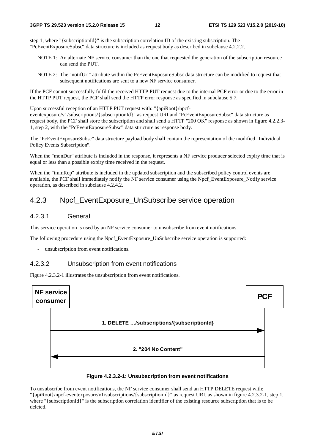step 1, where "{subscriptionId}" is the subscription correlation ID of the existing subscription. The "PcEventExposureSubsc" data structure is included as request body as described in subclause 4.2.2.2.

- NOTE 1: An alternate NF service consumer than the one that requested the generation of the subscription resource can send the PUT.
- NOTE 2: The "notifUri" attribute within the PcEventExposureSubsc data structure can be modified to request that subsequent notifications are sent to a new NF service consumer.

If the PCF cannot successfully fulfil the received HTTP PUT request due to the internal PCF error or due to the error in the HTTP PUT request, the PCF shall send the HTTP error response as specified in subclause 5.7.

Upon successful reception of an HTTP PUT request with: "{apiRoot}/npcfeventexposure/v1/subscriptions/{subscriptionId}" as request URI and "PcEventExposureSubsc" data structure as "PcEventExposureSubsc" data structure as<br>TP "200 OK" response as shown in figure 4<br>body. request body, the PCF shall store the subscription and shall send a HTTP "200 OK" response as shown in figure 4.2.2.3- 1, step 2, with the "PcEventExposureSubsc" data structure as response body.

1, step 2, with the "PcEventExposureSubsc" data structure as response body.<br>The "PcEventExposureSubsc" data structure payload body shall contain the representation of the modified "Individual<br>Policy Events Subscription". Policy Events Subscription".

Policy Events Subscription".<br>When the "monDur" attribute is included in the response, it represents a NF service producer selected expiry time that is equal or less than a possible expiry time received in the request.

When the "immRep" attribute is included in the updated subscription and the subscribed policy control events are available, the PCF shall immediately notify the NF service consumer using the Npcf\_EventExposure\_Notify service operation, as described in subclause 4.2.4.2.

### 4.2.3 Npcf\_EventExposure\_UnSubscribe service operation

#### 4.2.3.1 General

This service operation is used by an NF service consumer to unsubscribe from event notifications.

The following procedure using the Npcf\_EventExposure\_UnSubscribe service operation is supported:

unsubscription from event notifications.

#### 4.2.3.2 Unsubscription from event notifications

Figure 4.2.3.2-1 illustrates the unsubscription from event notifications.



#### **Figure 4.2.3.2-1: Unsubscription from event notifications**

To unsubscribe from event notifications, the NF service consumer shall send an HTTP DELETE request with: "{apiRoot}/npcf-eventexposure/v1/subscriptions/{subscriptionId}" as request URI, as shown in figure 4.2.3.2-1, step 1, where "{subscriptionId}" is the subscription correlation identifier of the existing resource subscription that is to be deleted.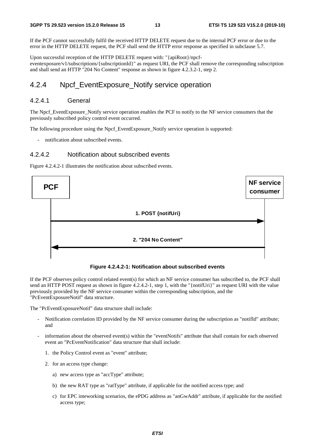If the PCF cannot successfully fulfil the received HTTP DELETE request due to the internal PCF error or due to the error in the HTTP DELETE request, the PCF shall send the HTTP error response as specified in subclause 5.7.

Upon successful reception of the HTTP DELETE request with: "{apiRoot}/npcfeventexposure/v1/subscriptions/{subscriptionId}" as request URI, the PCF shall remove the corresponding subscription and shall send an HTTP "204 No Content" response as shown in figure 4.2.3.2-1, step 2.

### 4.2.4 Npcf\_EventExposure\_Notify service operation

#### 4.2.4.1 General

The Npcf\_EventExposure\_Notify service operation enables the PCF to notify to the NF service consumers that the previously subscribed policy control event occurred.

The following procedure using the Npcf\_EventExposure\_Notify service operation is supported:

- notification about subscribed events.

#### 4.2.4.2 Notification about subscribed events

Figure 4.2.4.2-1 illustrates the notification about subscribed events.



**Figure 4.2.4.2-1: Notification about subscribed events** 

If the PCF observes policy control related event(s) for which an NF service consumer has subscribed to, the PCF shall send an HTTP POST request as shown in figure 4.2.4.2-1, step 1, with the "{notifUri}" as request URI with the value previously provided by the NF service consumer within the corresponding subscription, and the "PcEventExposureNotif" data structure.

The "PcEventExposureNotif" data structure shall include:

- Notification correlation ID provided by the NF service consumer during the subscription as "notifId" attribute; and
- information about the observed event(s) within the "eventNotifs" attribute that shall contain for each observed event an "PcEventNotification" data structure that shall include:
	- 1. the Policy Control event as "event" attribute;
	- 2. for an access type change:
		- a) new access type as "accType" attribute;
		- b) the new RAT type as "ratType" attribute, if applicable for the notified access type; and
		- c) for EPC inteworking scenarios, the ePDG address as "anGwAddr" attribute, if applicable for the notified access type;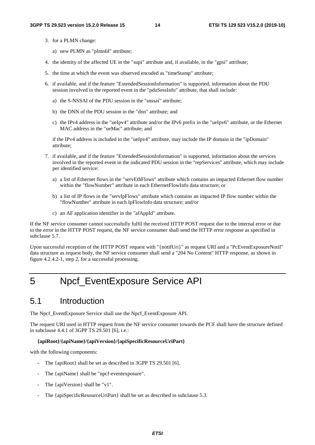- 3. for a PLMN change:
	- a) new PLMN as "plmnId" attribute;
- 4. the identity of the affected UE in the "supi" attribute and, if available, in the "gpsi" attribute;
- 5. the time at which the event was observed encoded as "timeStamp" attribute;
- 6. if available, and if the feature "ExtendedSessionInformation" is supported, information about the PDU session involved in the reported event in the "pduSessInfo" attribute, that shall include:
	- a) the S-NSSAI of the PDU session in the "snssai" attribute;
	- b) the DNN of the PDU session in the "dnn" attribute; and
	- c) the IPv4 address in the "ueIpv4" attribute and/or the IPv6 prefix in the "ueIpv6" attribute, or the Ethernet MAC address in the "ueMac" attribute; and

if the IPv4 address is included in the "ueIpv4" attribute, may include the IP domain in the "ipDomain" attribute;

- 7. if available, and if the feature "ExtendedSessionInformation" is supported, information about the services involved in the reported event in the indicated PDU session in the "repServices" attribute, which may include per identified service:
	- a) a list of Ethernet flows in the "servEthFlows" attribute which contains an impacted Ethernet flow number within the "flowNumber" attribute in each EthernetFlowInfo data structure; or
	- b) a list of IP flows in the "servIpFlows" attribute which contains an impacted IP flow number within the "flowNumber" attribute in each IpFlowInfo data structure; and/or
	- c) an AF application identifier in the "afAppId" attribute.

If the NF service consumer cannot successfully fulfil the received HTTP POST request due to the internal error or due to the error in the HTTP POST request, the NF service consumer shall send the HTTP error response as specified in subclause 5.7.

Upon successful reception of the HTTP POST request with "{notifUri}" as request URI and a "PcEventExposureNotif" data structure as request body, the NF service consumer shall send a "204 No Content" HTTP response, as shown in figure 4.2.4.2-1, step 2, for a successful processing.

# 5 Npcf\_EventExposure Service API

### 5.1 Introduction

The Npcf\_EventExposure Service shall use the Npcf\_EventExposure API.

The request URI used in HTTP request from the NF service consumer towards the PCF shall have the structure defined in subclause 4.4.1 of 3GPP TS 29.501 [6], i.e.:

#### **{apiRoot}/{apiName}/{apiVersion}/{apiSpecificResourceUriPart}**

with the following components:

- The {apiRoot} shall be set as described in 3GPP TS 29.501 [6].
- The {apiName} shall be "npcf-eventexposure".
- The {apiVersion} shall be "v1".
- The {apiSpecificResourceUriPart} shall be set as described in subclause 5.3.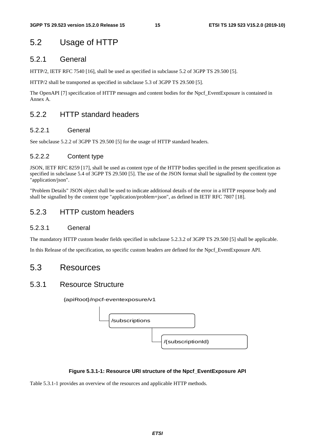# 5.2 Usage of HTTP

### 5.2.1 General

HTTP/2, IETF RFC 7540 [16], shall be used as specified in subclause 5.2 of 3GPP TS 29.500 [5].

HTTP/2 shall be transported as specified in subclause 5.3 of 3GPP TS 29.500 [5].

The OpenAPI [7] specification of HTTP messages and content bodies for the Npcf\_EventExposure is contained in Annex A.

### 5.2.2 HTTP standard headers

#### 5.2.2.1 General

See subclause 5.2.2 of 3GPP TS 29.500 [5] for the usage of HTTP standard headers.

### 5.2.2.2 Content type

JSON, IETF RFC 8259 [17], shall be used as content type of the HTTP bodies specified in the present specification as specified in subclause 5.4 of 3GPP TS 29.500 [5]. The use of the JSON format shall be signalled by the content type "application/json".

"Problem Details" JSON object shall be used to indicate additional details of the error in a HTTP response body and shall be signalled by the content type "application/problem+json", as defined in IETF RFC 7807 [18].

### 5.2.3 HTTP custom headers

#### 5.2.3.1 General

The mandatory HTTP custom header fields specified in subclause 5.2.3.2 of 3GPP TS 29.500 [5] shall be applicable.

In this Release of the specification, no specific custom headers are defined for the Npcf\_EventExposure API.

### 5.3 Resources

### 5.3.1 Resource Structure

{apiRoot}/npcf-eventexposure/v1



#### **Figure 5.3.1-1: Resource URI structure of the Npcf\_EventExposure API**

Table 5.3.1-1 provides an overview of the resources and applicable HTTP methods.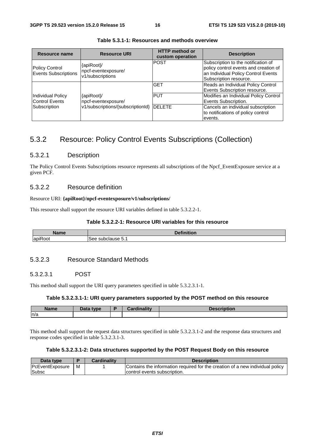| Resource name                                        | <b>Resource URI</b>                                                            | <b>HTTP</b> method or<br>custom operation | <b>Description</b>                                                                                                                            |
|------------------------------------------------------|--------------------------------------------------------------------------------|-------------------------------------------|-----------------------------------------------------------------------------------------------------------------------------------------------|
| <b>Policy Control</b><br><b>Events Subscriptions</b> | {apiRoot}/<br>npcf-eventexposure/<br>v1/subscriptions                          | IPOST                                     | Subscription to the notification of<br>policy control events and creation of<br>an Individual Policy Control Events<br>Subscription resource. |
|                                                      | {apiRoot}/<br>npcf-eventexposure/<br>v1/subscriptions/{subscriptionId}  DELETE | <b>GET</b>                                | Reads an Individual Policy Control<br>Events Subscription resource.                                                                           |
| <b>Individual Policy</b><br><b>Control Events</b>    |                                                                                | <b>PUT</b>                                | Modifies an Individual Policy Control<br>Events Subscription.                                                                                 |
| Subscription                                         |                                                                                |                                           | Cancels an individual subscription<br>to notifications of policy control                                                                      |
|                                                      |                                                                                |                                           | events.                                                                                                                                       |

**Table 5.3.1-1: Resources and methods overview** 

### 5.3.2 Resource: Policy Control Events Subscriptions (Collection)

#### 5.3.2.1 Description

The Policy Control Events Subscriptions resource represents all subscriptions of the Npcf\_EventExposure service at a given PCF.

#### 5.3.2.2 Resource definition

#### Resource URI: **{apiRoot}/npcf-eventexposure/v1/subscriptions/**

This resource shall support the resource URI variables defined in table 5.3.2.2-1.

#### **Table 5.3.2.2-1: Resource URI variables for this resource**

| <b>TABLE</b><br><b>Name</b> | $-1$<br>$-1.1$<br>.<br>чυι. |  |  |  |  |
|-----------------------------|-----------------------------|--|--|--|--|
| $\overline{\phantom{a}}$    | subclause                   |  |  |  |  |
| lapit                       | See                         |  |  |  |  |
| रoot                        | ັບ.                         |  |  |  |  |

#### 5.3.2.3 Resource Standard Methods

#### 5.3.2.3.1 POST

This method shall support the URI query parameters specified in table 5.3.2.3.1-1.

#### **Table 5.3.2.3.1-1: URI query parameters supported by the POST method on this resource**

| <b>Name</b> | Data type | يبدئا ومرااوس | <b>Description</b> |
|-------------|-----------|---------------|--------------------|
| n/a         |           |               |                    |

This method shall support the request data structures specified in table 5.3.2.3.1-2 and the response data structures and response codes specified in table 5.3.2.3.1-3.

#### **Table 5.3.2.3.1-2: Data structures supported by the POST Request Body on this resource**

| Data type       |   | <b>Cardinality</b> | <b>Description</b>                                                            |
|-----------------|---|--------------------|-------------------------------------------------------------------------------|
| PcEventExposure | M |                    | Contains the information required for the creation of a new individual policy |
| Subsc           |   |                    | control events subscription.                                                  |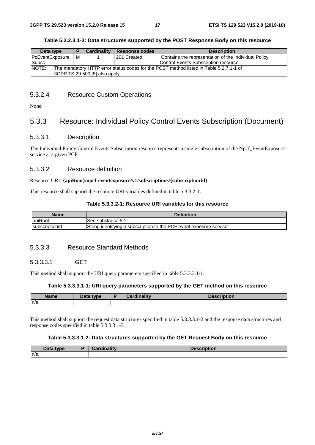#### **Table 5.3.2.3.1-3: Data structures supported by the POST Response Body on this resource**

| Data type                                                                                       |   | <b>Cardinality</b> | Response codes | <b>Description</b>                                   |  |  |
|-------------------------------------------------------------------------------------------------|---|--------------------|----------------|------------------------------------------------------|--|--|
| <b>PcEventExposure</b>                                                                          | м |                    | 201 Created    | Contains the representation of the Individual Policy |  |  |
| Subsc                                                                                           |   |                    |                | Control Events Subscription resource.                |  |  |
| NOTE:<br>The mandatory HTTP error status codes for the POST method listed in Table 5.2.7.1-1 of |   |                    |                |                                                      |  |  |
| 3GPP TS 29.500 [5] also apply.                                                                  |   |                    |                |                                                      |  |  |

#### 5.3.2.4 Resource Custom Operations

None.

### 5.3.3 Resource: Individual Policy Control Events Subscription (Document)

#### 5.3.3.1 Description

The Individual Policy Control Events Subscription resource represents a single subscription of the Npcf\_EventExposure service at a given PCF.

#### 5.3.3.2 Resource definition

#### Resource URI: **{apiRoot}/npcf-eventexposure/v1/subscriptions/{subscriptionId}**

This resource shall support the resource URI variables defined in table 5.3.3.2-1.

#### **Table 5.3.3.2-1: Resource URI variables for this resource**

| Name           | <b>Definition</b>                                                    |
|----------------|----------------------------------------------------------------------|
| apiRoot        | 'See subclause 5.1                                                   |
| subscriptionId | String identifying a subscription to the PCF event exposure service. |

#### 5.3.3.3 Resource Standard Methods

#### 5.3.3.3.1 GET

This method shall support the URI query parameters specified in table 5.3.3.3.1-1.

#### **Table 5.3.3.3.1-1: URI query parameters supported by the GET method on this resource**

| <b>Name</b> | Data type | <b>Cardinality</b> | <b>Description</b> |
|-------------|-----------|--------------------|--------------------|
| n/a         |           |                    |                    |

This method shall support the request data structures specified in table 5.3.3.3.1-2 and the response data structures and response codes specified in table 5.3.3.3.1-3.

#### **Table 5.3.3.3.1-2: Data structures supported by the GET Request Body on this resource**

| Data type | Cordinality | $\overline{\phantom{a}}$<br><b>Description</b> |
|-----------|-------------|------------------------------------------------|
| n/a       |             |                                                |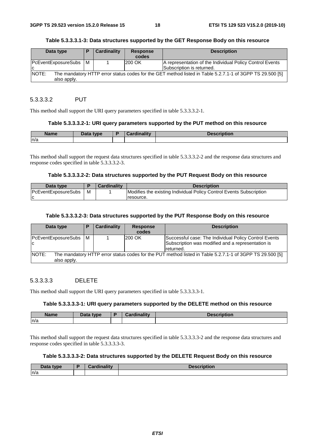#### **Table 5.3.3.3.1-3: Data structures supported by the GET Response Body on this resource**

| Data type                      | Е | <b>Cardinality</b> | <b>Response</b><br>codes | <b>Description</b>                                                                                       |
|--------------------------------|---|--------------------|--------------------------|----------------------------------------------------------------------------------------------------------|
| PcEventExposureSubs   M<br>IC. |   |                    | 200 OK                   | A representation of the Individual Policy Control Events<br>Subscription is returned.                    |
| <b>NOTE:</b><br>also apply.    |   |                    |                          | The mandatory HTTP error status codes for the GET method listed in Table 5.2.7.1-1 of 3GPP TS 29.500 [5] |

#### 5.3.3.3.2 PUT

This method shall support the URI query parameters specified in table 5.3.3.3.2-1.

#### **Table 5.3.3.3.2-1: URI query parameters supported by the PUT method on this resource**

| <b>Name</b> | Data type | <b>Cardinality</b> | <b>Description</b> |
|-------------|-----------|--------------------|--------------------|
| n/a         |           |                    |                    |

This method shall support the request data structures specified in table 5.3.3.3.2-2 and the response data structures and response codes specified in table 5.3.3.3.2-3.

#### **Table 5.3.3.3.2-2: Data structures supported by the PUT Request Body on this resource**

| Data type                  |   | <b>Cardinality</b> | <b>Description</b>                                                  |
|----------------------------|---|--------------------|---------------------------------------------------------------------|
| <b>PcEventExposureSubs</b> | M |                    | Modifies the existing Individual Policy Control Events Subscription |
|                            |   |                    | resource.                                                           |

#### **Table 5.3.3.3.2-3: Data structures supported by the PUT Response Body on this resource**

| Data type                   | P | <b>Cardinality</b> | <b>Response</b><br>codes | <b>Description</b>                                                                                                      |
|-----------------------------|---|--------------------|--------------------------|-------------------------------------------------------------------------------------------------------------------------|
| PcEventExposureSubs M<br>ΙC |   |                    | 200 OK                   | Successful case: The Individual Policy Control Events<br>Subscription was modified and a representation is<br>returned. |
| NOTE:<br>also apply.        |   |                    |                          | The mandatory HTTP error status codes for the PUT method listed in Table 5.2.7.1-1 of 3GPP TS 29.500 [5]                |

#### 5.3.3.3.3 DELETE

This method shall support the URI query parameters specified in table 5.3.3.3.3-1.

#### **Table 5.3.3.3.3-1: URI query parameters supported by the DELETE method on this resource**

| <b>Name</b> | Data type | B | <b>Cardinality</b> | <b>Description</b> |
|-------------|-----------|---|--------------------|--------------------|
| n/a         |           |   |                    |                    |

This method shall support the request data structures specified in table 5.3.3.3.3-2 and the response data structures and response codes specified in table 5.3.3.3.3-3.

#### **Table 5.3.3.3.3-2: Data structures supported by the DELETE Request Body on this resource**

| Data type | $\mathcal{O}$ and in all in<br>Cardinality | <b>Description</b> |
|-----------|--------------------------------------------|--------------------|
| ln/a      |                                            |                    |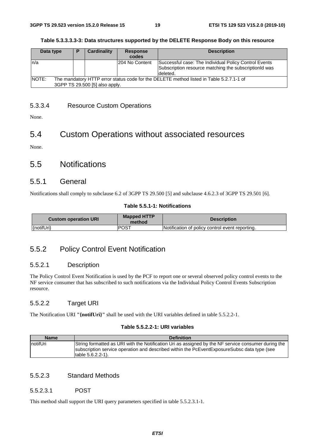#### **Table 5.3.3.3.3-3: Data structures supported by the DELETE Response Body on this resource**

| Data type                                                                                                                           | P | <b>Cardinality</b> | <b>Response</b><br>codes | <b>Description</b>                                                                                                         |  |
|-------------------------------------------------------------------------------------------------------------------------------------|---|--------------------|--------------------------|----------------------------------------------------------------------------------------------------------------------------|--|
| n/a                                                                                                                                 |   |                    | 204 No Content           | Successful case: The Individual Policy Control Events<br>Subscription resource matching the subscriptionId was<br>deleted. |  |
| INOTE:<br>The mandatory HTTP error status code for the DELETE method listed in Table 5.2.7.1-1 of<br>3GPP TS 29.500 [5] also apply. |   |                    |                          |                                                                                                                            |  |

### 5.3.3.4 Resource Custom Operations

None.

# 5.4 Custom Operations without associated resources

None.

### 5.5 Notifications

#### 5.5.1 General

Notifications shall comply to subclause 6.2 of 3GPP TS 29.500 [5] and subclause 4.6.2.3 of 3GPP TS 29.501 [6].

#### **Table 5.5.1-1: Notifications**

| <b>Custom operation URI</b> | <b>Mapped HTTP</b><br>method | <b>Description</b>                              |
|-----------------------------|------------------------------|-------------------------------------------------|
| {notifUri}                  | POST                         | Notification of policy control event reporting. |

### 5.5.2 Policy Control Event Notification

#### 5.5.2.1 Description

The Policy Control Event Notification is used by the PCF to report one or several observed policy control events to the NF service consumer that has subscribed to such notifications via the Individual Policy Control Events Subscription resource.

#### 5.5.2.2 Target URI

The Notification URI **"{notifUri}"** shall be used with the URI variables defined in table 5.5.2.2-1.

#### **Table 5.5.2.2-1: URI variables**

| <b>Name</b>      | <b>Definition</b>                                                                                                                                                                                                           |
|------------------|-----------------------------------------------------------------------------------------------------------------------------------------------------------------------------------------------------------------------------|
| <b>InotifUri</b> | String formatted as URI with the Notification Uri as assigned by the NF service consumer during the<br>subscription service operation and described within the PcEventExposureSubsc data type (see<br>Itable $5.6.2.2-1$ ). |

#### 5.5.2.3 Standard Methods

#### 5.5.2.3.1 POST

This method shall support the URI query parameters specified in table 5.5.2.3.1-1.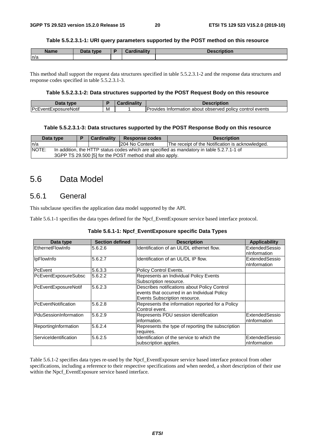#### **Table 5.5.2.3.1-1: URI query parameters supported by the POST method on this resource**

| <b>Name</b> | Data type<br>Putu | <b>Cardinality</b> | <b>Description</b> |
|-------------|-------------------|--------------------|--------------------|
| n/a         |                   |                    |                    |

This method shall support the request data structures specified in table 5.5.2.3.1-2 and the response data structures and response codes specified in table 5.5.2.3.1-3.

#### **Table 5.5.2.3.1-2: Data structures supported by the POST Request Body on this resource**

| Data<br>tvne                |     | <br>scription                                                        |
|-----------------------------|-----|----------------------------------------------------------------------|
| <b>PcEventExposureNotif</b> | ΙVΙ | Provides<br>control events<br>⊦about observed policv⊣<br>Information |

#### **Table 5.5.2.3.1-3: Data structures supported by the POST Response Body on this resource**

| Data type                                                                                          |                                                          | <b>Cardinality</b> | <b>Response codes</b> | <b>Description</b>                               |  |  |  |  |
|----------------------------------------------------------------------------------------------------|----------------------------------------------------------|--------------------|-----------------------|--------------------------------------------------|--|--|--|--|
| In/a                                                                                               |                                                          |                    | 204 No Content        | The receipt of the Notification is acknowledged. |  |  |  |  |
| NOTE:<br>In addition, the HTTP status codes which are specified as mandatory in table 5.2.7.1-1 of |                                                          |                    |                       |                                                  |  |  |  |  |
|                                                                                                    | 3GPP TS 29.500 [5] for the POST method shall also apply. |                    |                       |                                                  |  |  |  |  |

### 5.6 Data Model

### 5.6.1 General

This subclause specifies the application data model supported by the API.

Table 5.6.1-1 specifies the data types defined for the Npcf\_EventExposure service based interface protocol.

| Data type             | <b>Section defined</b> | <b>Description</b>                                                                                                            | <b>Applicability</b>            |
|-----------------------|------------------------|-------------------------------------------------------------------------------------------------------------------------------|---------------------------------|
| EthernetFlowInfo      | 5.6.2.6                | Identification of an UL/DL ethernet flow.                                                                                     | ExtendedSessio<br>InInformation |
| <b>IpFlowInfo</b>     | 5.6.2.7                | Identification of an UL/DL IP flow.                                                                                           | ExtendedSessio<br>InInformation |
| PcEvent               | 5.6.3.3                | Policy Control Events.                                                                                                        |                                 |
| PcEventExposureSubsc  | 5.6.2.2                | Represents an Individual Policy Events<br>Subscription resource.                                                              |                                 |
| PcEventExposureNotif  | 5.6.2.3                | Describes notifications about Policy Control<br>events that occurred in an Individual Policy<br>Events Subscription resource. |                                 |
| PcEventNotification   | 5.6.2.8                | Represents the information reported for a Policy<br>Control event.                                                            |                                 |
| PduSessionInformation | 5.6.2.9                | Represents PDU session identification<br>information.                                                                         | ExtendedSessio<br>nInformation  |
| ReportingInformation  | 5.6.2.4                | Represents the type of reporting the subscription<br>requires.                                                                |                                 |
| ServiceIdentification | 5.6.2.5                | Identification of the service to which the<br>subscription applies.                                                           | ExtendedSessio<br>InInformation |

Table 5.6.1-2 specifies data types re-used by the Npcf\_EventExposure service based interface protocol from other specifications, including a reference to their respective specifications and when needed, a short description of their use within the Npcf\_EventExposure service based interface.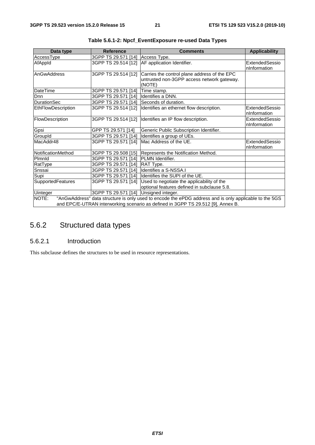| Data type          | <b>Reference</b>                      | <b>Comments</b>                                                                                        | <b>Applicability</b> |
|--------------------|---------------------------------------|--------------------------------------------------------------------------------------------------------|----------------------|
| AccessType         | 3GPP TS 29.571 [14] Access Type.      |                                                                                                        |                      |
| AfAppId            | 3GPP TS 29.514 [12]                   | AF application Identifier.                                                                             | ExtendedSessio       |
|                    |                                       |                                                                                                        | nInformation         |
| AnGwAddress        | 3GPP TS 29.514 [12]                   | Carries the control plane address of the EPC                                                           |                      |
|                    |                                       | untrusted non-3GPP access network gateway.                                                             |                      |
|                    |                                       | (NOTE)                                                                                                 |                      |
| <b>DateTime</b>    | 3GPP TS 29.571 [14]                   | Time stamp.                                                                                            |                      |
| <b>Dnn</b>         | 3GPP TS 29.571 [14]                   | Identifies a DNN.                                                                                      |                      |
| <b>DurationSec</b> | 3GPP TS 29.571 [14]                   | Seconds of duration.                                                                                   |                      |
| EthFlowDescription | 3GPP TS 29.514 [12]                   | Identifies an ethernet flow description.                                                               | ExtendedSessio       |
|                    |                                       |                                                                                                        | nInformation         |
| FlowDescription    |                                       | 3GPP TS 29.514 [12] Identifies an IP flow description.                                                 | ExtendedSessio       |
|                    |                                       |                                                                                                        | nInformation         |
| Gpsi               | GPP TS 29.571 [14]                    | Generic Public Subscription Identifier.                                                                |                      |
| GroupId            | 3GPP TS 29.571 [14]                   | Identifies a group of UEs.                                                                             |                      |
| MacAddr48          | 3GPP TS 29.571 [14]                   | Mac Address of the UE.                                                                                 | ExtendedSessio       |
|                    |                                       |                                                                                                        | nInformation         |
| NotificationMethod | 3GPP TS 29.508 [15]                   | Represents the Notification Method.                                                                    |                      |
| Plmnld             | 3GPP TS 29.571 [14]                   | <b>PLMN</b> Identifier.                                                                                |                      |
| RatType            | 3GPP TS 29.571 [14]                   | RAT Type.                                                                                              |                      |
| Snssai             | 3GPP TS 29.571 [14]                   | Identifies a S-NSSA.I                                                                                  |                      |
| Supi               | 3GPP TS 29.571 [14]                   | Identifies the SUPI of the UE.                                                                         |                      |
| SupportedFeatures  | 3GPP TS 29.571 [14]                   | Used to negotiate the applicability of the                                                             |                      |
|                    |                                       | optional features defined in subclause 5.8.                                                            |                      |
| <b>Uinteger</b>    | 3GPP TS 29.571 [14] Unsigned integer. |                                                                                                        |                      |
| NOTE:              |                                       | "AnGwAddress" data structure is only used to encode the ePDG address and is only applicable to the 5GS |                      |
|                    |                                       | and EPC/E-UTRAN interworking scenario as defined in 3GPP TS 29.512 [9], Annex B.                       |                      |

**Table 5.6.1-2: Npcf\_EventExposure re-used Data Types** 

# 5.6.2 Structured data types

### 5.6.2.1 Introduction

This subclause defines the structures to be used in resource representations.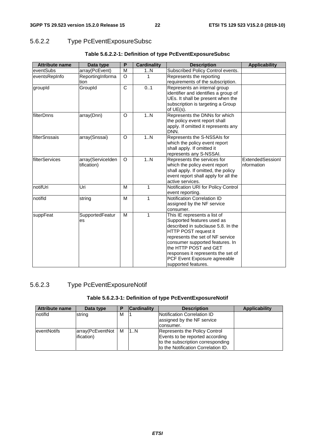### 5.6.2.2 Type PcEventExposureSubsc

| <b>Attribute name</b> | Data type                        | P                     | <b>Cardinality</b> | <b>Description</b>                                                                                                                                                                                                                                                                                                    | <b>Applicability</b>           |
|-----------------------|----------------------------------|-----------------------|--------------------|-----------------------------------------------------------------------------------------------------------------------------------------------------------------------------------------------------------------------------------------------------------------------------------------------------------------------|--------------------------------|
| eventSubs             | array(PcEvent)                   | M                     | 1N                 | Subscribed Policy Control events.                                                                                                                                                                                                                                                                                     |                                |
| eventsRepInfo         | ReportingInforma                 | O                     | 1                  | Represents the reporting                                                                                                                                                                                                                                                                                              |                                |
|                       | tion                             |                       |                    | requirements of the subscription.                                                                                                                                                                                                                                                                                     |                                |
| groupId               | GroupId                          | $\overline{\text{c}}$ | 0.1                | Represents an internal group<br>identifier and identifies a group of<br>UEs. It shall be present when the<br>subscription is targeting a Group<br>of $UE(s)$ .                                                                                                                                                        |                                |
| filterDnns            | array(Dnn)                       | O                     | 1N                 | Represents the DNNs for which<br>the policy event report shall<br>apply. If omitted it represents any<br>DNN.                                                                                                                                                                                                         |                                |
| filterSnssais         | array(Snssai)                    | $\circ$               | 1.N                | Represents the S-NSSAIs for<br>which the policy event report<br>shall apply. If omitted it<br>represents any S-NSSAI.                                                                                                                                                                                                 |                                |
| filterServices        | array(ServiceIden<br>tification) | $\circ$               | 1N                 | Represents the services for<br>which the policy event report<br>shall apply. If omitted, the policy<br>event report shall apply for all the<br>active services.                                                                                                                                                       | ExtendedSessionI<br>nformation |
| notifUri              | Uri                              | M                     | $\mathbf{1}$       | Notification URI for Policy Control<br>event reporting.                                                                                                                                                                                                                                                               |                                |
| notifld               | string                           | M                     | 1                  | Notification Correlation ID<br>assigned by the NF service<br>consumer.                                                                                                                                                                                                                                                |                                |
| suppFeat              | SupportedFeatur<br>es            | М                     | 1                  | This IE represents a list of<br>Supported features used as<br>described in subclause 5.8. In the<br>HTTP POST request it<br>represents the set of NF service<br>consumer supported features. In<br>the HTTP POST and GET<br>responses it represents the set of<br>PCF Event Exposure agreeable<br>supported features. |                                |

### **Table 5.6.2.2-1: Definition of type PcEventExposureSubsc**

### 5.6.2.3 Type PcEventExposureNotif

### **Table 5.6.2.3-1: Definition of type PcEventExposureNotif**

| <b>Attribute name</b> | Data type          |   | <b>Cardinality</b> | <b>Description</b>                                                | <b>Applicability</b> |
|-----------------------|--------------------|---|--------------------|-------------------------------------------------------------------|----------------------|
| notifid               | string             | м |                    | <b>INotification Correlation ID</b><br>assigned by the NF service |                      |
|                       |                    |   |                    | Iconsumer.                                                        |                      |
| <b>leventNotifs</b>   | array(PcEventNot   | м | 1N                 | Represents the Policy Control                                     |                      |
|                       | <i>ification</i> ) |   |                    | Events to be reported according                                   |                      |
|                       |                    |   |                    | to the subscription corresponding                                 |                      |
|                       |                    |   |                    | to the Notification Correlation ID.                               |                      |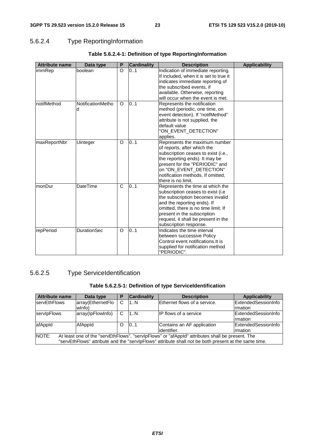### 5.6.2.4 Type ReportingInformation

| <b>Attribute name</b> | Data type              | P | <b>Cardinality</b> | <b>Description</b>                                                                                                                                                                                                                                                                        | <b>Applicability</b> |
|-----------------------|------------------------|---|--------------------|-------------------------------------------------------------------------------------------------------------------------------------------------------------------------------------------------------------------------------------------------------------------------------------------|----------------------|
| immRep                | boolean                | O | 0.1                | Indication of immediate reporting.<br>If included, when it is set to true it<br>indicates immediate reporting of<br>the subscribed events, if<br>available. Otherwise, reporting<br>will occur when the event is met.                                                                     |                      |
| notifMethod           | NotificationMetho<br>d | O | 0.1                | Represents the notification<br>method (periodic, one time, on<br>event detection). If "notifMethod"<br>attribute is not supplied, the<br>default value<br>"ON_EVENT_DETECTION"<br>applies.                                                                                                |                      |
| maxReportNbr          | Uinteger               | O | 0.1                | Represents the maximum number<br>of reports, after which the<br>subscription ceases to exist (i.e.,<br>the reporting ends). It may be<br>present for the "PERIODIC" and<br>on "ON_EVENT_DETECTION"<br>notification methods. If omitted,<br>there is no limit.                             |                      |
| monDur                | <b>DateTime</b>        | C | 0.1                | Represents the time at which the<br>subscription ceases to exist ( <i>i.e</i> )<br>the subscription becomes invalid<br>and the reporting ends). If<br>omitted, there is no time limit. If<br>present in the subscription<br>request, it shall be present in the<br>subscription response. |                      |
| repPeriod             | <b>DurationSec</b>     | O | 0.1                | Indicates the time interval<br>between successive Policy<br>Control event notifications. It is<br>supplied for notification method<br>"PERIODIC".                                                                                                                                         |                      |

### **Table 5.6.2.4-1: Definition of type ReportingInformation**

### 5.6.2.5 Type ServiceIdentification

#### **Table 5.6.2.5-1: Definition of type ServiceIdentification**

| <b>Attribute name</b>                                                                                    | Data type                   | P | <b>Cardinality</b> | <b>Description</b>                                                                                   | <b>Applicability</b>                         |
|----------------------------------------------------------------------------------------------------------|-----------------------------|---|--------------------|------------------------------------------------------------------------------------------------------|----------------------------------------------|
| <b>servEthFlows</b>                                                                                      | array(EthernetFlo<br>wlnfo) | С | 1N                 | Ethernet flows of a service.                                                                         | ExtendedSessionInfo<br><b>Imation</b>        |
| servipFlows                                                                                              | array(lpFlowInfo)           | C | 1. N               | IIP flows of a service                                                                               | <b>ExtendedSessionInfo</b><br><b>Imation</b> |
| afAppId                                                                                                  | AfAppId                     | O | 101                | Contains an AF application<br>lidentifier.                                                           | <b>ExtendedSessionInfo</b><br>rmation        |
| NOTE:<br>At least one of the "servEthFlows", "servIpFlows" or "afAppId" attributes shall be present. The |                             |   |                    |                                                                                                      |                                              |
|                                                                                                          |                             |   |                    | "servEthFlows" attribute and the "servlpFlows" attribute shall not be both present at the same time. |                                              |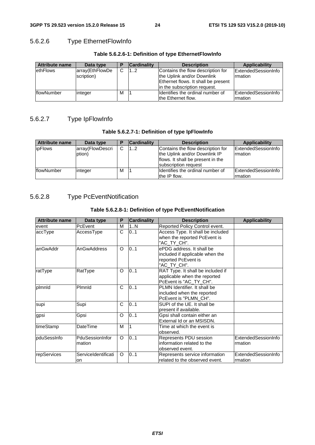### 5.6.2.6 Type EthernetFlowInfo

| <b>Attribute name</b> | Data type       |   | <b>Cardinality</b> | <b>Description</b>                  | Applicability       |
|-----------------------|-----------------|---|--------------------|-------------------------------------|---------------------|
| ethFlows              | array(EthFlowDe | C | 12                 | Contains the flow description for   | ExtendedSessionInfo |
|                       | scription)      |   |                    | the Uplink and/or Downlink          | Irmation            |
|                       |                 |   |                    | Ethernet flows. It shall be present |                     |
|                       |                 |   |                    | lin the subscription request.       |                     |
| flowNumber            | integer         | M |                    | Ildentifies the ordinal number of   | ExtendedSessionInfo |
|                       |                 |   |                    | the Ethernet flow.                  | Irmation            |

#### **Table 5.6.2.6-1: Definition of type EthernetFlowInfo**

### 5.6.2.7 Type IpFlowInfo

#### **Table 5.6.2.7-1: Definition of type IpFlowInfo**

| <b>Attribute name</b> | Data type        |   | <b>Cardinality</b> | <b>Description</b>                | <b>Applicability</b>       |
|-----------------------|------------------|---|--------------------|-----------------------------------|----------------------------|
| <b>ipFlows</b>        | array(FlowDescri | C | 12                 | Contains the flow description for | ExtendedSessionInfo        |
|                       | ption)           |   |                    | the Uplink and/or Downlink IP     | <b>Imation</b>             |
|                       |                  |   |                    | flows. It shall be present in the |                            |
|                       |                  |   |                    | subscription request              |                            |
| <b>IflowNumber</b>    | integer          | м |                    | Ildentifies the ordinal number of | <b>ExtendedSessionInfo</b> |
|                       |                  |   |                    | the IP flow.                      | rmation                    |

### 5.6.2.8 Type PcEventNotification

### **Table 5.6.2.8-1: Definition of type PcEventNotification**

| <b>Attribute name</b> | Data type                 | P        | <b>Cardinality</b> | <b>Description</b>                                                                                 | <b>Applicability</b>           |
|-----------------------|---------------------------|----------|--------------------|----------------------------------------------------------------------------------------------------|--------------------------------|
| event                 | PcEvent                   | М        | 1N                 | Reported Policy Control event.                                                                     |                                |
| accType               | AccessType                | C        | 0.1                | Access Type. It shall be included<br>when the reported PcEvent is<br>"AC TY CH".                   |                                |
| lanGwAddr             | AnGwAddress               | O        | 0.1                | ePDG address. It shall be<br>included if applicable when the<br>reported PcEvent is<br>"AC TY CH". |                                |
| ratType               | RatType                   | O        | 0.1                | RAT Type. It shall be included if<br>applicable when the reported<br>PcEvent is "AC_TY_CH".        |                                |
| plmnld                | Plmnld                    | C        | 01                 | PLMN Identifier. It shall be<br>included when the reported<br>PcEvent is "PLMN CH".                |                                |
| supi                  | Supi                      | C        | 0.1                | SUPI of the UE. It shall be<br>present if available.                                               |                                |
| gpsi                  | Gpsi                      | O        | 0.1                | Gpsi shall contain either an<br>External Id or an MSISDN.                                          |                                |
| timeStamp             | DateTime                  | M        |                    | Time at which the event is<br>observed.                                                            |                                |
| pduSessInfo           | PduSessionInfor<br>mation | $\Omega$ | 0.1                | Represents PDU session<br>information related to the<br>observed event.                            | ExtendedSessionInfo<br>mation  |
| repServices           | ServiceIdentificati<br>on | O        | 0.1                | Represents service information<br>related to the observed event.                                   | ExtendedSessionInfo<br>rmation |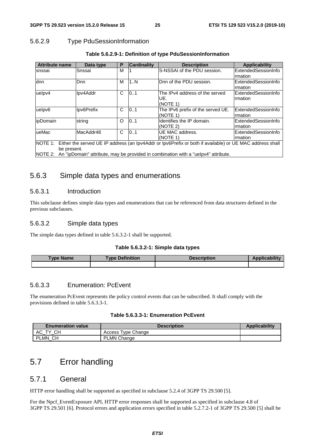### 5.6.2.9 Type PduSessionInformation

| <b>Attribute name</b>                                                                                            | Data type   | P | <b>Cardinality</b> | <b>Description</b>                                                                         | Applicability       |  |
|------------------------------------------------------------------------------------------------------------------|-------------|---|--------------------|--------------------------------------------------------------------------------------------|---------------------|--|
| snssai                                                                                                           | Snssai      | M |                    | S-NSSAI of the PDU session.                                                                | ExtendedSessionInfo |  |
|                                                                                                                  |             |   |                    |                                                                                            | rmation             |  |
| dnn                                                                                                              | <b>D</b> nn | M | 1N                 | Dnn of the PDU session.                                                                    | ExtendedSessionInfo |  |
|                                                                                                                  |             |   |                    |                                                                                            | Irmation            |  |
| uelpv4                                                                                                           | Ipv4Addr    | C | 0.1                | The IPv4 address of the served                                                             | ExtendedSessionInfo |  |
|                                                                                                                  |             |   |                    | UE.                                                                                        | Irmation            |  |
|                                                                                                                  |             |   |                    | (NOTE 1)                                                                                   |                     |  |
| uelpv6                                                                                                           | Ipv6Prefix  | C | 101                | The IPv6 prefix of the served UE.                                                          | ExtendedSessionInfo |  |
|                                                                                                                  |             |   |                    | (NOTE 1)                                                                                   | Irmation            |  |
| lipDomain                                                                                                        | string      | O | 0.1                | Identifies the IP domain.                                                                  | ExtendedSessionInfo |  |
|                                                                                                                  |             |   |                    | (NOTE 2)                                                                                   | rmation             |  |
| lueMac                                                                                                           | MacAddr48   | C | 10.1               | UE MAC address.                                                                            | ExtendedSessionInfo |  |
|                                                                                                                  |             |   |                    | (NOTE 1)                                                                                   | Irmation            |  |
| NOTE 1: Either the served UE IP address (an Ipv4Addr or Ipv6Prefix or both if available) or UE MAC address shall |             |   |                    |                                                                                            |                     |  |
| be present.                                                                                                      |             |   |                    |                                                                                            |                     |  |
|                                                                                                                  |             |   |                    | NOTE 2: An "ipDomain" attribute, may be provided in combination with a "uelpv4" attribute. |                     |  |

#### **Table 5.6.2.9-1: Definition of type PduSessionInformation**

### 5.6.3 Simple data types and enumerations

#### 5.6.3.1 Introduction

This subclause defines simple data types and enumerations that can be referenced from data structures defined in the previous subclauses.

#### 5.6.3.2 Simple data types

The simple data types defined in table 5.6.3.2-1 shall be supported.

#### **Table 5.6.3.2-1: Simple data types**

| <b>Type Name</b> | <b>Type Definition</b> | <b>Description</b> | <b>Applicability</b> |
|------------------|------------------------|--------------------|----------------------|
|                  |                        |                    |                      |

#### 5.6.3.3 Enumeration: PcEvent

The enumeration PcEvent represents the policy control events that can be subscribed. It shall comply with the provisions defined in table 5.6.3.3-1.

#### **Table 5.6.3.3-1: Enumeration PcEvent**

| <b>Enumeration value</b> | <b>Description</b> | <b>Applicability</b> |
|--------------------------|--------------------|----------------------|
| <b>CH</b><br>АC<br>᠇៶    | Access Type Change |                      |
| PLMN CH                  | PLMN Change        |                      |

# 5.7 Error handling

### 5.7.1 General

HTTP error handling shall be supported as specified in subclause 5.2.4 of 3GPP TS 29.500 [5].

For the Npcf. EventExposure API, HTTP error responses shall be supported as specified in subclause 4.8 of 3GPP TS 29.501 [6]. Protocol errors and application errors specified in table 5.2.7.2-1 of 3GPP TS 29.500 [5] shall be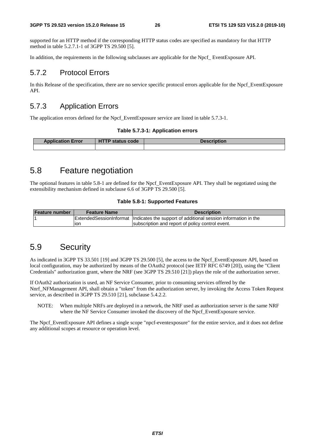supported for an HTTP method if the corresponding HTTP status codes are specified as mandatory for that HTTP method in table 5.2.7.1-1 of 3GPP TS 29.500 [5].

In addition, the requirements in the following subclauses are applicable for the Npcf\_ EventExposure API.

### 5.7.2 Protocol Errors

In this Release of the specification, there are no service specific protocol errors applicable for the Npcf\_EventExposure API.

### 5.7.3 Application Errors

The application errors defined for the Npcf. EventExposure service are listed in table 5.7.3-1.

#### **Table 5.7.3-1: Application errors**

| <b>Application Error</b> | <b>HTTP status code</b> | <b>Description</b> |
|--------------------------|-------------------------|--------------------|
|                          |                         |                    |

# 5.8 Feature negotiation

The optional features in table 5.8-1 are defined for the Npcf\_EventExposure API. They shall be negotiated using the extensibility mechanism defined in subclause 6.6 of 3GPP TS 29.500 [5].

#### **Table 5.8-1: Supported Features**

| <b>Feature number</b> | <b>Feature Name</b> | <b>Description</b>                                                                         |
|-----------------------|---------------------|--------------------------------------------------------------------------------------------|
|                       |                     | Extended Session Informat   Indicates the support of additional session information in the |
|                       | lion                | subscription and report of policy control event.                                           |

### 5.9 Security

As indicated in 3GPP TS 33.501 [19] and 3GPP TS 29.500 [5], the access to the Npcf\_EventExposure API, based on local configuration, may be authorized by means of the OAuth2 protocol (see IETF RFC 6749 [20]), using the "Client Credentials" authorization grant, where the NRF (see 3GPP TS 29.510 [21]) plays the role of the authorization server.

If OAuth2 authorization is used, an NF Service Consumer, prior to consuming services offered by the Nnrf\_NFManagement API, shall obtain a "token" from the authorization server, by invoking the Access Token Request service, as described in 3GPP TS 29.510 [21], subclause 5.4.2.2.

NOTE: When multiple NRFs are deployed in a network, the NRF used as authorization server is the same NRF where the NF Service Consumer invoked the discovery of the Npcf\_EventExposure service.

The Npcf\_EventExposure API defines a single scope "npcf-eventexposure" for the entire service, and it does not define any additional scopes at resource or operation level.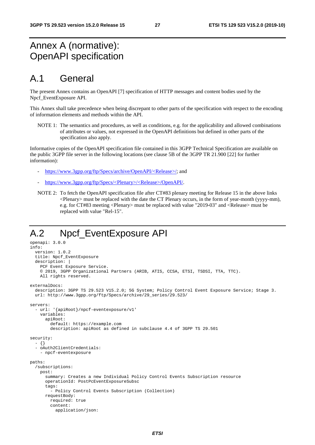# Annex A (normative): OpenAPI specification

# A.1 General

The present Annex contains an OpenAPI [7] specification of HTTP messages and content bodies used by the Npcf\_EventExposure API.

This Annex shall take precedence when being discrepant to other parts of the specification with respect to the encoding of information elements and methods within the API.

NOTE 1: The semantics and procedures, as well as conditions, e.g. for the applicability and allowed combinations of attributes or values, not expressed in the OpenAPI definitions but defined in other parts of the specification also apply.

Informative copies of the OpenAPI specification file contained in this 3GPP Technical Specification are available on the public 3GPP file server in the following locations (see clause 5B of the 3GPP TR 21.900 [22] for further information):

- [https://www.3gpp.org/ftp/Specs/archive/OpenAPI/<Release>/](https://www.3gpp.org/ftp/Specs/archive/OpenAPI/%3cRelease%3e/); and
- [https://www.3gpp.org/ftp/Specs/<Plenary>/<Release>/OpenAPI/.](https://www.3gpp.org/ftp/Specs/%3cPlenary%3e/%3cRelease%3e/OpenAPI/)
- NOTE 2: To fetch the OpenAPI specification file after CT#83 plenary meeting for Release 15 in the above links <Plenary> must be replaced with the date the CT Plenary occurs, in the form of year-month (yyyy-mm), e.g. for CT#83 meeting <Plenary> must be replaced with value "2019-03" and <Release> must be replaced with value "Rel-15".

# A.2 Npcf\_EventExposure API

```
openapi: 3.0.0 
info: 
   version: 1.0.2 
   title: Npcf_EventExposure 
   description: | 
     PCF Event Exposure Service. 
     © 2019, 3GPP Organizational Partners (ARIB, ATIS, CCSA, ETSI, TSDSI, TTA, TTC). 
     All rights reserved. 
externalDocs: 
   description: 3GPP TS 29.523 V15.2.0; 5G System; Policy Control Event Exposure Service; Stage 3. 
   url: http://www.3gpp.org/ftp/Specs/archive/29_series/29.523/ 
servers: 
   - url: '{apiRoot}/npcf-eventexposure/v1' 
     variables: 
       apiRoot: 
         default: https://example.com 
         description: apiRoot as defined in subclause 4.4 of 3GPP TS 29.501 
security: 
   - {} 
   - oAuth2ClientCredentials: 
     - npcf-eventexposure 
paths: 
   /subscriptions: 
     post: 
       summary: Creates a new Individual Policy Control Events Subscription resource 
       operationId: PostPcEventExposureSubsc 
       tags: 
         - Policy Control Events Subscription (Collection) 
       requestBody: 
         required: true 
         content: 
           application/json:
```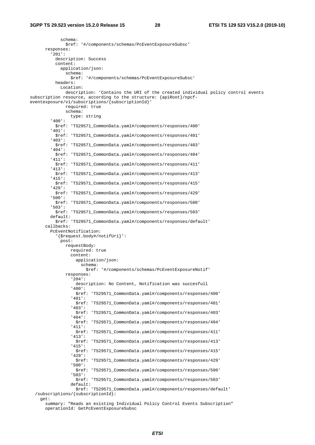schema: \$ref: '#/components/schemas/PcEventExposureSubsc' responses: '201': description: Success content: application/json: schema: \$ref: '#/components/schemas/PcEventExposureSubsc' headers: Location: description: 'Contains the URI of the created individual policy control events subscription resource, according to the structure: {apiRoot}/npcfeventexposure/v1/subscriptions/{subscriptionId}' required: true schema: type: string '400': \$ref: 'TS29571\_CommonData.yaml#/components/responses/400' '401': \$ref: 'TS29571\_CommonData.yaml#/components/responses/401' '403': \$ref: 'TS29571\_CommonData.yaml#/components/responses/403' '404': \$ref: 'TS29571\_CommonData.yaml#/components/responses/404' '411': \$ref: 'TS29571\_CommonData.yaml#/components/responses/411' '413': \$ref: 'TS29571\_CommonData.yaml#/components/responses/413' '415': \$ref: 'TS29571\_CommonData.yaml#/components/responses/415' '429': \$ref: 'TS29571\_CommonData.yaml#/components/responses/429' '500': \$ref: 'TS29571\_CommonData.yaml#/components/responses/500' '503': \$ref: 'TS29571\_CommonData.yaml#/components/responses/503' default: \$ref: 'TS29571\_CommonData.yaml#/components/responses/default' callbacks: PcEventNotification: '{\$request.body#/notifUri}': post: requestBody: required: true content: application/json: schema: \$ref: '#/components/schemas/PcEventExposureNotif' responses: '204': description: No Content, Notification was succesfull '400': \$ref: 'TS29571\_CommonData.yaml#/components/responses/400' '401': \$ref: 'TS29571\_CommonData.yaml#/components/responses/401' '403': \$ref: 'TS29571\_CommonData.yaml#/components/responses/403' '404': \$ref: 'TS29571\_CommonData.yaml#/components/responses/404' '411': \$ref: 'TS29571\_CommonData.yaml#/components/responses/411' '413': \$ref: 'TS29571\_CommonData.yaml#/components/responses/413' '415': \$ref: 'TS29571\_CommonData.yaml#/components/responses/415' '429': \$ref: 'TS29571\_CommonData.yaml#/components/responses/429' '500': \$ref: 'TS29571\_CommonData.yaml#/components/responses/500' '503': \$ref: 'TS29571\_CommonData.yaml#/components/responses/503' default: \$ref: 'TS29571\_CommonData.yaml#/components/responses/default' /subscriptions/{subscriptionId}: get:

 summary: "Reads an existing Individual Policy Control Events Subscription" operationId: GetPcEventExposureSubsc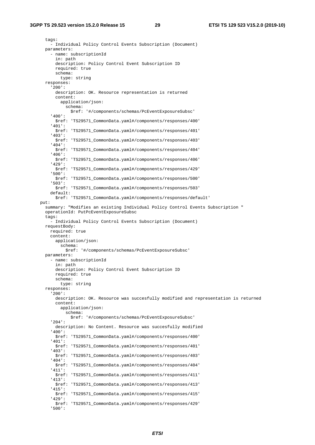tags: - Individual Policy Control Events Subscription (Document) parameters: - name: subscriptionId in: path description: Policy Control Event Subscription ID required: true schema: type: string responses: '200': description: OK. Resource representation is returned content: application/json: schema: \$ref: '#/components/schemas/PcEventExposureSubsc' '400': \$ref: 'TS29571\_CommonData.yaml#/components/responses/400' '401': \$ref: 'TS29571\_CommonData.yaml#/components/responses/401' '403': \$ref: 'TS29571\_CommonData.yaml#/components/responses/403' '404': \$ref: 'TS29571\_CommonData.yaml#/components/responses/404' '406': \$ref: 'TS29571\_CommonData.yaml#/components/responses/406' '429': \$ref: 'TS29571\_CommonData.yaml#/components/responses/429' '500': \$ref: 'TS29571\_CommonData.yaml#/components/responses/500' '503': \$ref: 'TS29571\_CommonData.yaml#/components/responses/503' default: \$ref: 'TS29571\_CommonData.yaml#/components/responses/default' put: summary: "Modifies an existing Individual Policy Control Events Subscription " operationId: PutPcEventExposureSubsc tags: - Individual Policy Control Events Subscription (Document) requestBody: required: true content: application/json: schema: \$ref: '#/components/schemas/PcEventExposureSubsc' parameters: - name: subscriptionId in: path description: Policy Control Event Subscription ID required: true schema: type: string responses: '200': description: OK. Resource was succesfully modified and representation is returned content: application/json: schema: \$ref: '#/components/schemas/PcEventExposureSubsc' '204': description: No Content. Resource was succesfully modified '400': \$ref: 'TS29571\_CommonData.yaml#/components/responses/400' '401': \$ref: 'TS29571\_CommonData.yaml#/components/responses/401' '403': \$ref: 'TS29571\_CommonData.yaml#/components/responses/403' '404': \$ref: 'TS29571\_CommonData.yaml#/components/responses/404' '411': \$ref: 'TS29571\_CommonData.yaml#/components/responses/411' '413': \$ref: 'TS29571\_CommonData.yaml#/components/responses/413' '415': \$ref: 'TS29571\_CommonData.yaml#/components/responses/415' '429': \$ref: 'TS29571\_CommonData.yaml#/components/responses/429' '500':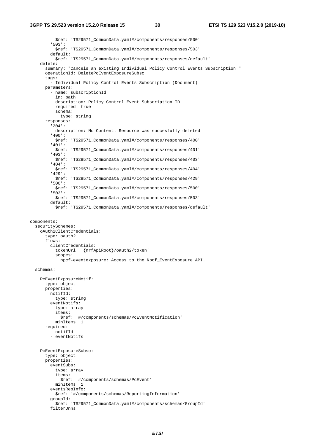#### **3GPP TS 29.523 version 15.2.0 Release 15 30 ETSI TS 129 523 V15.2.0 (2019-10)**

 \$ref: 'TS29571\_CommonData.yaml#/components/responses/500' '503': \$ref: 'TS29571\_CommonData.yaml#/components/responses/503' default: \$ref: 'TS29571\_CommonData.yaml#/components/responses/default' delete: summary: "Cancels an existing Individual Policy Control Events Subscription " operationId: DeletePcEventExposureSubsc tags: - Individual Policy Control Events Subscription (Document) parameters: - name: subscriptionId in: path description: Policy Control Event Subscription ID required: true schema: type: string responses: '204': description: No Content. Resource was succesfully deleted '400': \$ref: 'TS29571\_CommonData.yaml#/components/responses/400' '401': \$ref: 'TS29571\_CommonData.yaml#/components/responses/401' '403': \$ref: 'TS29571\_CommonData.yaml#/components/responses/403' '404': \$ref: 'TS29571\_CommonData.yaml#/components/responses/404' '429': \$ref: 'TS29571\_CommonData.yaml#/components/responses/429' '500': \$ref: 'TS29571\_CommonData.yaml#/components/responses/500' '503': \$ref: 'TS29571\_CommonData.yaml#/components/responses/503' default: \$ref: 'TS29571\_CommonData.yaml#/components/responses/default' components: securitySchemes: oAuth2ClientCredentials: type: oauth2 flows: clientCredentials: tokenUrl: '{nrfApiRoot}/oauth2/token' scopes: npcf-eventexposure: Access to the Npcf\_EventExposure API. schemas: PcEventExposureNotif: type: object properties: notifId: type: string eventNotifs: type: array items: \$ref: '#/components/schemas/PcEventNotification' minItems: 1 required: - notifId - eventNotifs PcEventExposureSubsc: type: object properties: eventSubs: type: array items: \$ref: '#/components/schemas/PcEvent' minItems: 1 eventsRepInfo: \$ref: '#/components/schemas/ReportingInformation' groupId: \$ref: 'TS29571\_CommonData.yaml#/components/schemas/GroupId' filterDnns: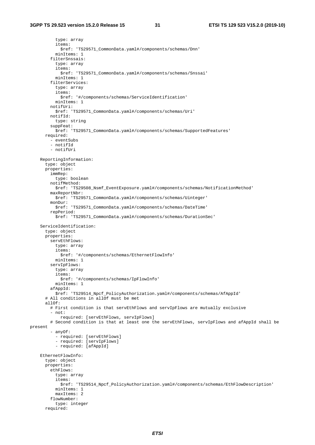type: array items: \$ref: 'TS29571\_CommonData.yaml#/components/schemas/Dnn' minItems: 1 filterSnssais: type: array items: \$ref: 'TS29571\_CommonData.yaml#/components/schemas/Snssai' minItems: 1 filterServices: type: array items: \$ref: '#/components/schemas/ServiceIdentification' minItems: 1 notifUri: \$ref: 'TS29571\_CommonData.yaml#/components/schemas/Uri' notifId: type: string suppFeat: \$ref: 'TS29571\_CommonData.yaml#/components/schemas/SupportedFeatures' required: - eventSubs - notifId - notifUri ReportingInformation: type: object properties: immRep: type: boolean notifMethod: \$ref: 'TS29508\_Nsmf\_EventExposure.yaml#/components/schemas/NotificationMethod' maxReportNbr: \$ref: 'TS29571\_CommonData.yaml#/components/schemas/Uinteger' monDur: \$ref: 'TS29571\_CommonData.yaml#/components/schemas/DateTime' repPeriod: \$ref: 'TS29571\_CommonData.yaml#/components/schemas/DurationSec' ServiceIdentification: type: object properties: servEthFlows: type: array items: \$ref: '#/components/schemas/EthernetFlowInfo' minItems: 1 servIpFlows: type: array items: \$ref: '#/components/schemas/IpFlowInfo' minItems: 1 afAppId: \$ref: 'TS29514\_Npcf\_PolicyAuthorization.yaml#/components/schemas/AfAppId' # All conditions in allOf must be met allOf: # First condition is that servEthFlows and servIpFlows are mutually exclusive - not: required: [servEthFlows, servIpFlows] # Second condition is that at least one the servEthFlows, servIpFlows and afAppId shall be present - anyOf: - required: [servEthFlows] - required: [servIpFlows] - required: [afAppId] EthernetFlowInfo: type: object properties: ethFlows: type: array items: \$ref: 'TS29514\_Npcf\_PolicyAuthorization.yaml#/components/schemas/EthFlowDescription' minItems: 1 maxItems: 2 flowNumber: type: integer required: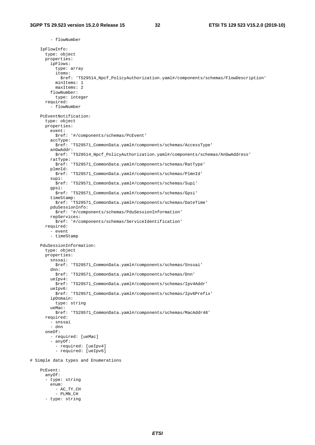- flowNumber

 IpFlowInfo: type: object properties: ipFlows: type: array items: \$ref: 'TS29514\_Npcf\_PolicyAuthorization.yaml#/components/schemas/FlowDescription' minItems: 1 maxItems: 2 flowNumber: type: integer required: - flowNumber PcEventNotification: type: object properties: event: \$ref: '#/components/schemas/PcEvent' accType: \$ref: 'TS29571\_CommonData.yaml#/components/schemas/AccessType' anGwAddr: \$ref: 'TS29514\_Npcf\_PolicyAuthorization.yaml#/components/schemas/AnGwAddress' ratType: \$ref: 'TS29571\_CommonData.yaml#/components/schemas/RatType' plmnId: \$ref: 'TS29571\_CommonData.yaml#/components/schemas/PlmnId' supi: \$ref: 'TS29571\_CommonData.yaml#/components/schemas/Supi' gpsi: \$ref: 'TS29571\_CommonData.yaml#/components/schemas/Gpsi' timeStamp: \$ref: 'TS29571\_CommonData.yaml#/components/schemas/DateTime' pduSessionInfo: \$ref: '#/components/schemas/PduSessionInformation' repServices: \$ref: '#/components/schemas/ServiceIdentification' required: - event - timeStamp PduSessionInformation: type: object properties: snssai: \$ref: 'TS29571\_CommonData.yaml#/components/schemas/Snssai' dnn: \$ref: 'TS29571\_CommonData.yaml#/components/schemas/Dnn' ueIpv4: \$ref: 'TS29571\_CommonData.yaml#/components/schemas/Ipv4Addr' ueIpv6: \$ref: 'TS29571\_CommonData.yaml#/components/schemas/Ipv6Prefix' ipDomain: type: string ueMac: \$ref: 'TS29571\_CommonData.yaml#/components/schemas/MacAddr48' required: - snssai - dnn oneOf: - required: [ueMac] - anyOf: - required: [ueIpv4] - required: [ueIpv6] # Simple data types and Enumerations PcEvent: anyOf: - type: string enum: - AC\_TY\_CH - PLMN\_CH - type: string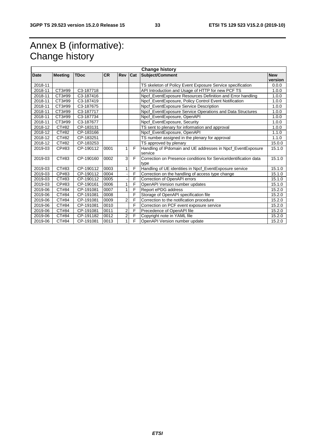# Annex B (informative): Change history

| <b>Change history</b> |                |             |           |                |            |                                                                           |                       |
|-----------------------|----------------|-------------|-----------|----------------|------------|---------------------------------------------------------------------------|-----------------------|
| Date                  | <b>Meeting</b> | <b>TDoc</b> | <b>CR</b> | Rev            | <b>Cat</b> | Subject/Comment                                                           | <b>New</b><br>version |
| 2018-11               |                |             |           |                |            | TS skeleton of Policy Event Exposure Service specification                | 0.0.0                 |
| 2018-11               | CT3#99         | C3-187718   |           |                |            | API Introduction and Usage of HTTP for new PCF TS                         | 1.0.0                 |
| 2018-11               | CT3#99         | C3-187416   |           |                |            | Npcf_EventExposure Resources Definition and Error handling                | 1.0.0                 |
| 2018-11               | CT3#99         | C3-187419   |           |                |            | Npcf_EventExposure, Policy Control Event Notification                     | 1.0.0                 |
| 2018-11               | CT3#99         | C3-187675   |           |                |            | Npcf_EventExposure Service Description                                    | 1.0.0                 |
| 2018-11               | CT3#99         | C3-187717   |           |                |            | Npcf_EventExposure Service Operations and Data Structures                 | 1.0.0                 |
| 2018-11               | CT3#99         | C3-187734   |           |                |            | Npcf_EventExposure, OpenAPI                                               | 1.0.0                 |
| 2018-11               | CT3#99         | C3-187677   |           |                |            | Npcf EventExposure, Security                                              | 1.0.0                 |
| 2018-12               | CT#82          | CP-183131   |           |                |            | TS sent to plenary for information and approval                           | 1.0.0                 |
| 2018-12               | CT#82          | CP-183166   |           |                |            | Npcf_EventExposure, OpenAPI                                               | 1.1.0                 |
| 2018-12               | CT#82          | CP-183251   |           |                |            | TS number assigned in the plenary for approval                            | 1.1.0                 |
| 2018-12               | CT#82          | CP-183253   |           |                |            | TS approved by plenary                                                    | 15.0.0                |
| 2019-03               | CP#83          | CP-190112   | 0001      |                | F          | Handling of IPdomain and UE addresses in Npcf_EventExposure<br>service    | 15.1.0                |
| 2019-03               | CT#83          | CP-190160   | 0002      | $\overline{3}$ | F          | Correction on Presence conditions for Service Identification data<br>type | 15.1.0                |
| 2019-03               | CT#83          | CP-190112   | 0003      |                | F          | Handling of UE identities in Npcf_EventExposure service                   | 15.1.0                |
| 2019-03               | CP#83          | CP-190112   | 0004      |                | F          | Correction on the handling of access type change                          | 15.1.0                |
| 2019-03               | CT#83          | CP-190112   | 0005      |                | F          | Correction of OpenAPI errors                                              | 15.1.0                |
| 2019-03               | CP#83          | CP-190161   | 0006      |                | F          | OpenAPI Version number updates                                            | 15.1.0                |
| 2019-06               | CT#84          | CP-191081   | 0007      |                | F          | Report ePDG address                                                       | 15.2.0                |
| 2019-06               | CT#84          | CP-191081   | 0008      |                | F          | Storage of OpenAPI specification file                                     | 15.2.0                |
| 2019-06               | CT#84          | CP-191081   | 0009      | $\overline{2}$ | F          | Correction to the notification procedure                                  | 15.2.0                |
| 2019-06               | CT#84          | CP-191081   | 0010      |                | F          | Correction on PCF event exposure service                                  | 15.2.0                |
| 2019-06               | CT#84          | CP-191081   | 0011      | 2              | F          | Precedence of OpenAPI file                                                | 15.2.0                |
| 2019-06               | CT#84          | CP-191182   | 0012      | 2 <sub>l</sub> | F          | Copyright note in YAML file                                               | 15.2.0                |
| 2019-06               | CT#84          | CP-191081   | 0013      | 1              | F          | OpenAPI Version number update                                             | 15.2.0                |